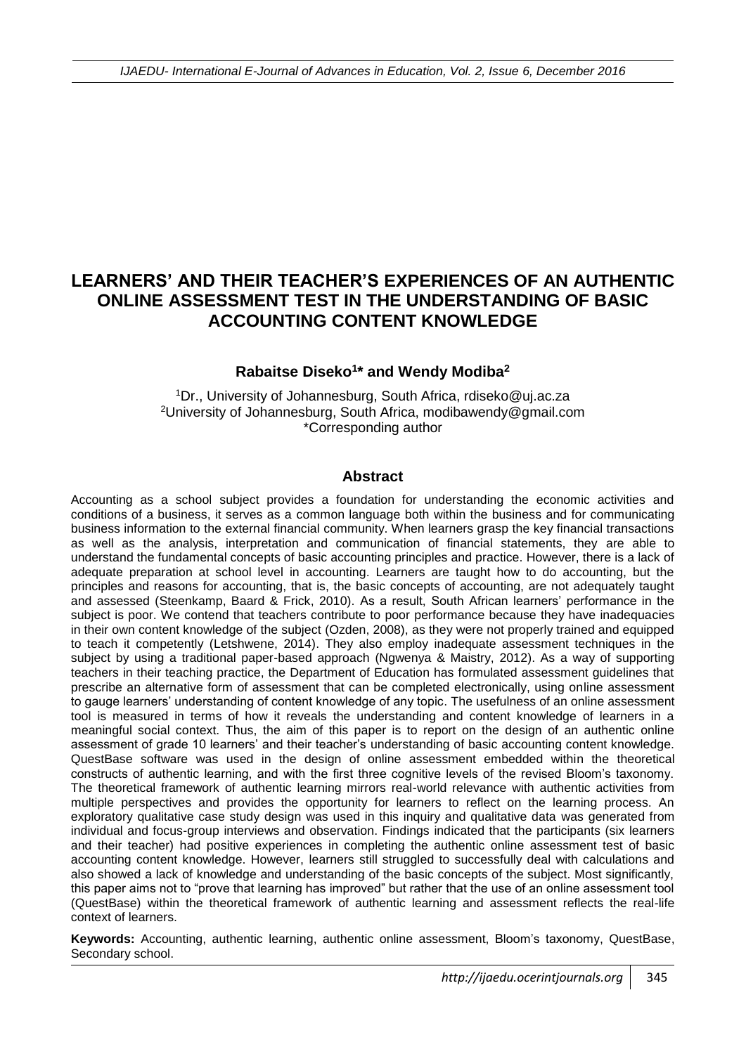# **LEARNERS' AND THEIR TEACHER'S EXPERIENCES OF AN AUTHENTIC ONLINE ASSESSMENT TEST IN THE UNDERSTANDING OF BASIC ACCOUNTING CONTENT KNOWLEDGE**

#### **Rabaitse Diseko<sup>1</sup> \* and Wendy Modiba<sup>2</sup>**

<sup>1</sup>Dr., University of Johannesburg, South Africa, rdiseko@uj.ac.za <sup>2</sup>University of Johannesburg, South Africa, modibawendy@gmail.com \*Corresponding author

#### **Abstract**

Accounting as a school subject provides a foundation for understanding the economic activities and conditions of a business, it serves as a common language both within the business and for communicating business information to the external financial community. When learners grasp the key financial transactions as well as the analysis, interpretation and communication of financial statements, they are able to understand the fundamental concepts of basic accounting principles and practice. However, there is a lack of adequate preparation at school level in accounting. Learners are taught how to do accounting, but the principles and reasons for accounting, that is, the basic concepts of accounting, are not adequately taught and assessed (Steenkamp, Baard & Frick, 2010). As a result, South African learners' performance in the subject is poor. We contend that teachers contribute to poor performance because they have inadequacies in their own content knowledge of the subject (Ozden, 2008), as they were not properly trained and equipped to teach it competently (Letshwene, 2014). They also employ inadequate assessment techniques in the subject by using a traditional paper-based approach (Ngwenya & Maistry, 2012). As a way of supporting teachers in their teaching practice, the Department of Education has formulated assessment guidelines that prescribe an alternative form of assessment that can be completed electronically, using online assessment to gauge learners' understanding of content knowledge of any topic. The usefulness of an online assessment tool is measured in terms of how it reveals the understanding and content knowledge of learners in a meaningful social context. Thus, the aim of this paper is to report on the design of an authentic online assessment of grade 10 learners' and their teacher's understanding of basic accounting content knowledge. QuestBase software was used in the design of online assessment embedded within the theoretical constructs of authentic learning, and with the first three cognitive levels of the revised Bloom's taxonomy. The theoretical framework of authentic learning mirrors real-world relevance with authentic activities from multiple perspectives and provides the opportunity for learners to reflect on the learning process. An exploratory qualitative case study design was used in this inquiry and qualitative data was generated from individual and focus-group interviews and observation. Findings indicated that the participants (six learners and their teacher) had positive experiences in completing the authentic online assessment test of basic accounting content knowledge. However, learners still struggled to successfully deal with calculations and also showed a lack of knowledge and understanding of the basic concepts of the subject. Most significantly, this paper aims not to "prove that learning has improved" but rather that the use of an online assessment tool (QuestBase) within the theoretical framework of authentic learning and assessment reflects the real-life context of learners.

**Keywords:** Accounting, authentic learning, authentic online assessment, Bloom's taxonomy, QuestBase, Secondary school.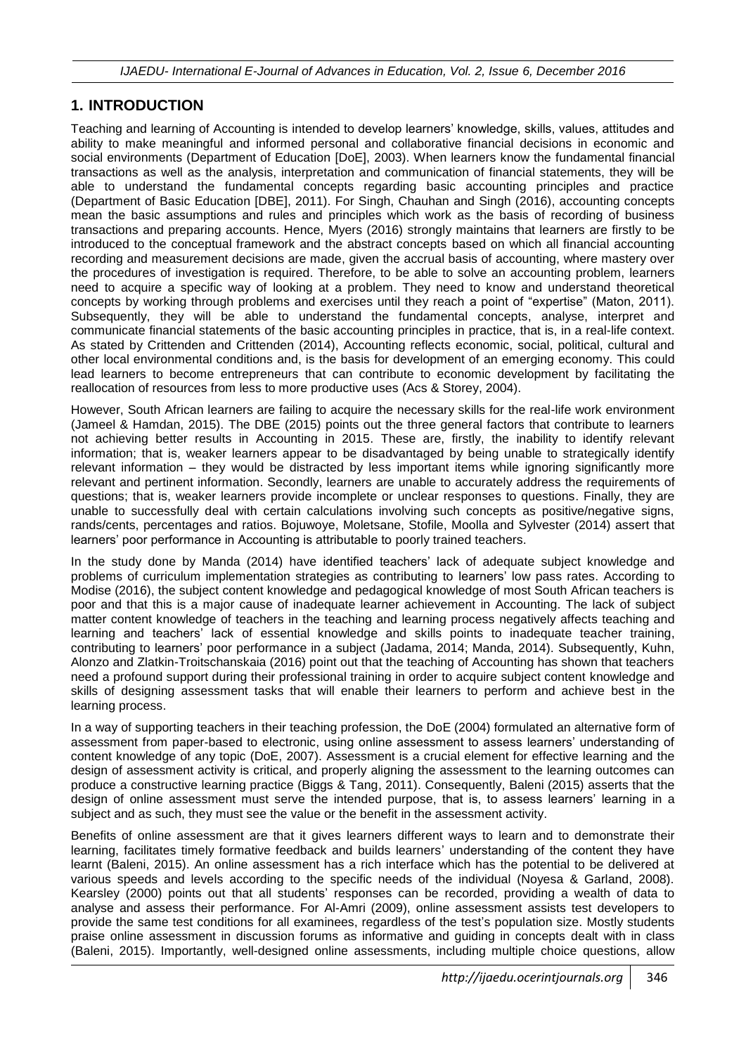## **1. INTRODUCTION**

Teaching and learning of Accounting is intended to develop learners' knowledge, skills, values, attitudes and ability to make meaningful and informed personal and collaborative financial decisions in economic and social environments (Department of Education [DoE], 2003). When learners know the fundamental financial transactions as well as the analysis, interpretation and communication of financial statements, they will be able to understand the fundamental concepts regarding basic accounting principles and practice (Department of Basic Education [DBE], 2011). For Singh, Chauhan and Singh (2016), accounting concepts mean the basic assumptions and rules and principles which work as the basis of recording of business transactions and preparing accounts. Hence, Myers (2016) strongly maintains that learners are firstly to be introduced to the conceptual framework and the abstract concepts based on which all financial accounting recording and measurement decisions are made, given the accrual basis of accounting, where mastery over the procedures of investigation is required. Therefore, to be able to solve an accounting problem, learners need to acquire a specific way of looking at a problem. They need to know and understand theoretical concepts by working through problems and exercises until they reach a point of "expertise" (Maton, 2011). Subsequently, they will be able to understand the fundamental concepts, analyse, interpret and communicate financial statements of the basic accounting principles in practice, that is, in a real-life context. As stated by Crittenden and Crittenden (2014), Accounting reflects economic, social, political, cultural and other local environmental conditions and, is the basis for development of an emerging economy. This could lead learners to become entrepreneurs that can contribute to economic development by facilitating the reallocation of resources from less to more productive uses (Acs & Storey, 2004).

However, South African learners are failing to acquire the necessary skills for the real-life work environment (Jameel & Hamdan, 2015). The DBE (2015) points out the three general factors that contribute to learners not achieving better results in Accounting in 2015. These are, firstly, the inability to identify relevant information; that is, weaker learners appear to be disadvantaged by being unable to strategically identify relevant information – they would be distracted by less important items while ignoring significantly more relevant and pertinent information. Secondly, learners are unable to accurately address the requirements of questions; that is, weaker learners provide incomplete or unclear responses to questions. Finally, they are unable to successfully deal with certain calculations involving such concepts as positive/negative signs, rands/cents, percentages and ratios. Bojuwoye, Moletsane, Stofile, Moolla and Sylvester (2014) assert that learners' poor performance in Accounting is attributable to poorly trained teachers.

In the study done by Manda (2014) have identified teachers' lack of adequate subject knowledge and problems of curriculum implementation strategies as contributing to learners' low pass rates. According to Modise (2016), the subject content knowledge and pedagogical knowledge of most South African teachers is poor and that this is a major cause of inadequate learner achievement in Accounting. The lack of subject matter content knowledge of teachers in the teaching and learning process negatively affects teaching and learning and teachers' lack of essential knowledge and skills points to inadequate teacher training, contributing to learners' poor performance in a subject (Jadama, 2014; Manda, 2014). Subsequently, Kuhn, Alonzo and Zlatkin-Troitschanskaia (2016) point out that the teaching of Accounting has shown that teachers need a profound support during their professional training in order to acquire subject content knowledge and skills of designing assessment tasks that will enable their learners to perform and achieve best in the learning process.

In a way of supporting teachers in their teaching profession, the DoE (2004) formulated an alternative form of assessment from paper-based to electronic, using online assessment to assess learners' understanding of content knowledge of any topic (DoE, 2007). Assessment is a crucial element for effective learning and the design of assessment activity is critical, and properly aligning the assessment to the learning outcomes can produce a constructive learning practice (Biggs & Tang, 2011). Consequently, Baleni (2015) asserts that the design of online assessment must serve the intended purpose, that is, to assess learners' learning in a subject and as such, they must see the value or the benefit in the assessment activity.

Benefits of online assessment are that it gives learners different ways to learn and to demonstrate their learning, facilitates timely formative feedback and builds learners' understanding of the content they have learnt (Baleni, 2015). An online assessment has a rich interface which has the potential to be delivered at various speeds and levels according to the specific needs of the individual (Noyesa & Garland, 2008). Kearsley (2000) points out that all students' responses can be recorded, providing a wealth of data to analyse and assess their performance. For Al-Amri (2009), online assessment assists test developers to provide the same test conditions for all examinees, regardless of the test's population size. Mostly students praise online assessment in discussion forums as informative and guiding in concepts dealt with in class (Baleni, 2015). Importantly, well-designed online assessments, including multiple choice questions, allow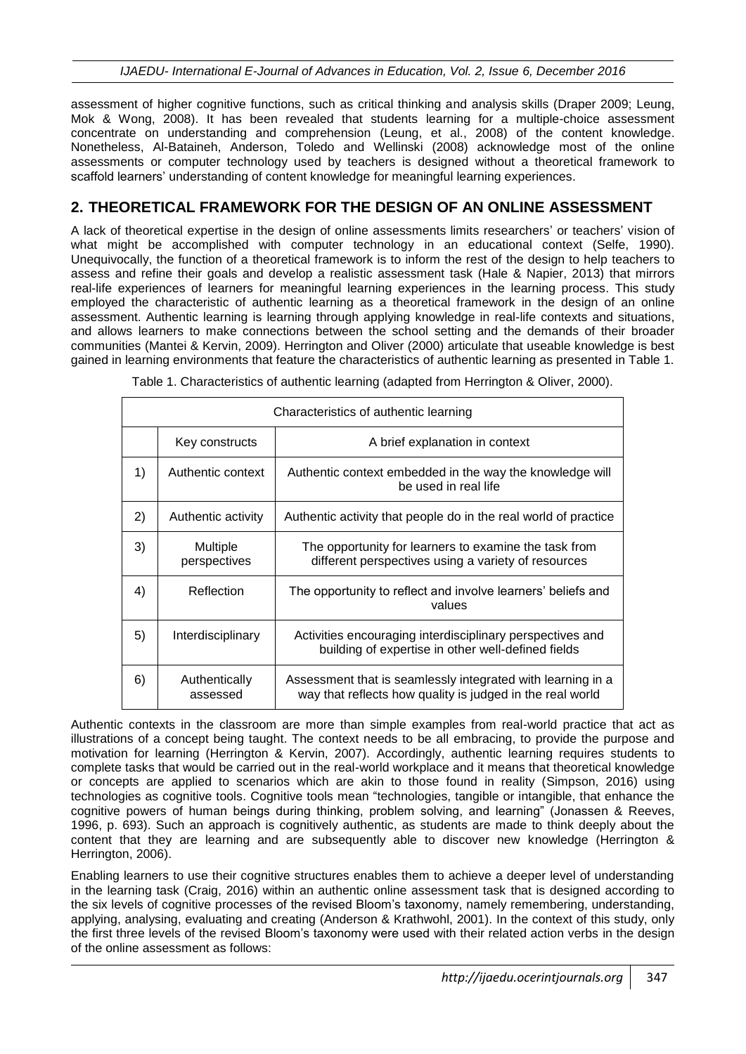assessment of higher cognitive functions, such as critical thinking and analysis skills (Draper 2009; Leung, Mok & Wong, 2008). It has been revealed that students learning for a multiple-choice assessment concentrate on understanding and comprehension (Leung, et al., 2008) of the content knowledge. Nonetheless, Al-Bataineh, Anderson, Toledo and Wellinski (2008) acknowledge most of the online assessments or computer technology used by teachers is designed without a theoretical framework to scaffold learners' understanding of content knowledge for meaningful learning experiences.

## **2. THEORETICAL FRAMEWORK FOR THE DESIGN OF AN ONLINE ASSESSMENT**

A lack of theoretical expertise in the design of online assessments limits researchers' or teachers' vision of what might be accomplished with computer technology in an educational context (Selfe, 1990). Unequivocally, the function of a theoretical framework is to inform the rest of the design to help teachers to assess and refine their goals and develop a realistic assessment task (Hale & Napier, 2013) that mirrors real-life experiences of learners for meaningful learning experiences in the learning process. This study employed the characteristic of authentic learning as a theoretical framework in the design of an online assessment. Authentic learning is learning through applying knowledge in real-life contexts and situations, and allows learners to make connections between the school setting and the demands of their broader communities (Mantei & Kervin, 2009). Herrington and Oliver (2000) articulate that useable knowledge is best gained in learning environments that feature the characteristics of authentic learning as presented in Table 1.

| Characteristics of authentic learning |                           |                                                                                                                          |
|---------------------------------------|---------------------------|--------------------------------------------------------------------------------------------------------------------------|
|                                       | Key constructs            | A brief explanation in context                                                                                           |
| 1)                                    | Authentic context         | Authentic context embedded in the way the knowledge will<br>be used in real life                                         |
| 2)                                    | Authentic activity        | Authentic activity that people do in the real world of practice                                                          |
| 3)                                    | Multiple<br>perspectives  | The opportunity for learners to examine the task from<br>different perspectives using a variety of resources             |
| 4)                                    | Reflection                | The opportunity to reflect and involve learners' beliefs and<br>values                                                   |
| 5)                                    | Interdisciplinary         | Activities encouraging interdisciplinary perspectives and<br>building of expertise in other well-defined fields          |
| 6)                                    | Authentically<br>assessed | Assessment that is seamlessly integrated with learning in a<br>way that reflects how quality is judged in the real world |

Table 1. Characteristics of authentic learning (adapted from Herrington & Oliver, 2000).

Authentic contexts in the classroom are more than simple examples from real-world practice that act as illustrations of a concept being taught. The context needs to be all embracing, to provide the purpose and motivation for learning (Herrington & Kervin, 2007). Accordingly, authentic learning requires students to complete tasks that would be carried out in the real-world workplace and it means that theoretical knowledge or concepts are applied to scenarios which are akin to those found in reality (Simpson, 2016) using technologies as cognitive tools. Cognitive tools mean "technologies, tangible or intangible, that enhance the cognitive powers of human beings during thinking, problem solving, and learning" (Jonassen & Reeves, 1996, p. 693). Such an approach is cognitively authentic, as students are made to think deeply about the content that they are learning and are subsequently able to discover new knowledge (Herrington & Herrington, 2006).

Enabling learners to use their cognitive structures enables them to achieve a deeper level of understanding in the learning task (Craig, 2016) within an authentic online assessment task that is designed according to the six levels of cognitive processes of the revised Bloom's taxonomy, namely remembering, understanding, applying, analysing, evaluating and creating (Anderson & Krathwohl, 2001). In the context of this study, only the first three levels of the revised Bloom's taxonomy were used with their related action verbs in the design of the online assessment as follows: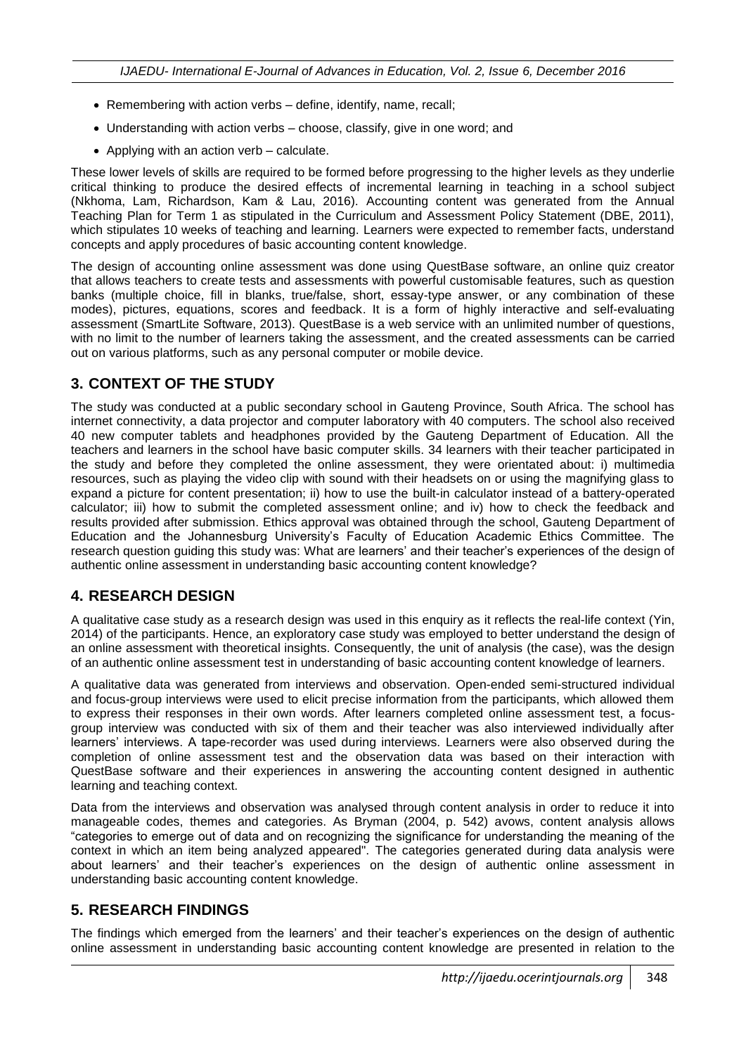- Remembering with action verbs  $-$  define, identify, name, recall;
- Understanding with action verbs choose, classify, give in one word; and
- Applying with an action verb calculate.

These lower levels of skills are required to be formed before progressing to the higher levels as they underlie critical thinking to produce the desired effects of incremental learning in teaching in a school subject (Nkhoma, Lam, Richardson, Kam & Lau, 2016). Accounting content was generated from the Annual Teaching Plan for Term 1 as stipulated in the Curriculum and Assessment Policy Statement (DBE, 2011), which stipulates 10 weeks of teaching and learning. Learners were expected to remember facts, understand concepts and apply procedures of basic accounting content knowledge.

The design of accounting online assessment was done using QuestBase software, an online quiz creator that allows teachers to create tests and assessments with powerful customisable features, such as question banks (multiple choice, fill in blanks, true/false, short, essay-type answer, or any combination of these modes), pictures, equations, scores and feedback. It is a form of highly interactive and self-evaluating assessment (SmartLite Software, 2013). QuestBase is a web service with an unlimited number of questions, with no limit to the number of learners taking the assessment, and the created assessments can be carried out on various platforms, such as any personal computer or mobile device.

### **3. CONTEXT OF THE STUDY**

The study was conducted at a public secondary school in Gauteng Province, South Africa. The school has internet connectivity, a data projector and computer laboratory with 40 computers. The school also received 40 new computer tablets and headphones provided by the Gauteng Department of Education. All the teachers and learners in the school have basic computer skills. 34 learners with their teacher participated in the study and before they completed the online assessment, they were orientated about: i) multimedia resources, such as playing the video clip with sound with their headsets on or using the magnifying glass to expand a picture for content presentation; ii) how to use the built-in calculator instead of a battery-operated calculator; iii) how to submit the completed assessment online; and iv) how to check the feedback and results provided after submission. Ethics approval was obtained through the school, Gauteng Department of Education and the Johannesburg University's Faculty of Education Academic Ethics Committee. The research question guiding this study was: What are learners' and their teacher's experiences of the design of authentic online assessment in understanding basic accounting content knowledge?

### **4. RESEARCH DESIGN**

A qualitative case study as a research design was used in this enquiry as it reflects the real-life context (Yin, 2014) of the participants. Hence, an exploratory case study was employed to better understand the design of an online assessment with theoretical insights. Consequently, the unit of analysis (the case), was the design of an authentic online assessment test in understanding of basic accounting content knowledge of learners.

A qualitative data was generated from interviews and observation. Open-ended semi-structured individual and focus-group interviews were used to elicit precise information from the participants, which allowed them to express their responses in their own words. After learners completed online assessment test, a focusgroup interview was conducted with six of them and their teacher was also interviewed individually after learners' interviews. A tape-recorder was used during interviews. Learners were also observed during the completion of online assessment test and the observation data was based on their interaction with QuestBase software and their experiences in answering the accounting content designed in authentic learning and teaching context.

Data from the interviews and observation was analysed through content analysis in order to reduce it into manageable codes, themes and categories. As Bryman (2004, p. 542) avows, content analysis allows "categories to emerge out of data and on recognizing the significance for understanding the meaning of the context in which an item being analyzed appeared". The categories generated during data analysis were about learners' and their teacher's experiences on the design of authentic online assessment in understanding basic accounting content knowledge.

### **5. RESEARCH FINDINGS**

The findings which emerged from the learners' and their teacher's experiences on the design of authentic online assessment in understanding basic accounting content knowledge are presented in relation to the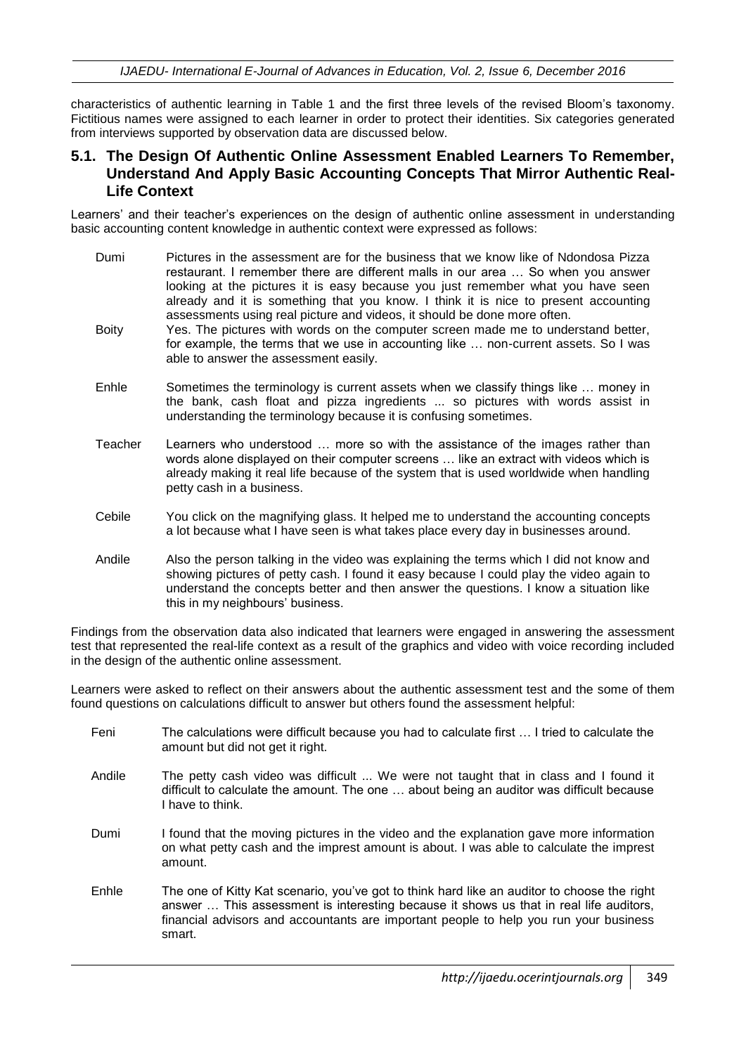*IJAEDU- International E-Journal of Advances in Education, Vol. 2, Issue 6, December 2016*

characteristics of authentic learning in Table 1 and the first three levels of the revised Bloom's taxonomy. Fictitious names were assigned to each learner in order to protect their identities. Six categories generated from interviews supported by observation data are discussed below.

#### **5.1. The Design Of Authentic Online Assessment Enabled Learners To Remember, Understand And Apply Basic Accounting Concepts That Mirror Authentic Real-Life Context**

Learners' and their teacher's experiences on the design of authentic online assessment in understanding basic accounting content knowledge in authentic context were expressed as follows:

- Dumi Pictures in the assessment are for the business that we know like of Ndondosa Pizza restaurant. I remember there are different malls in our area … So when you answer looking at the pictures it is easy because you just remember what you have seen already and it is something that you know. I think it is nice to present accounting assessments using real picture and videos, it should be done more often.
- Boity Yes. The pictures with words on the computer screen made me to understand better, for example, the terms that we use in accounting like … non-current assets. So I was able to answer the assessment easily.
- Enhle Sometimes the terminology is current assets when we classify things like … money in the bank, cash float and pizza ingredients ... so pictures with words assist in understanding the terminology because it is confusing sometimes.
- Teacher Learners who understood … more so with the assistance of the images rather than words alone displayed on their computer screens … like an extract with videos which is already making it real life because of the system that is used worldwide when handling petty cash in a business.
- Cebile You click on the magnifying glass. It helped me to understand the accounting concepts a lot because what I have seen is what takes place every day in businesses around.
- Andile Also the person talking in the video was explaining the terms which I did not know and showing pictures of petty cash. I found it easy because I could play the video again to understand the concepts better and then answer the questions. I know a situation like this in my neighbours' business.

Findings from the observation data also indicated that learners were engaged in answering the assessment test that represented the real-life context as a result of the graphics and video with voice recording included in the design of the authentic online assessment.

Learners were asked to reflect on their answers about the authentic assessment test and the some of them found questions on calculations difficult to answer but others found the assessment helpful:

- Feni The calculations were difficult because you had to calculate first … I tried to calculate the amount but did not get it right.
- Andile The petty cash video was difficult ... We were not taught that in class and I found it difficult to calculate the amount. The one … about being an auditor was difficult because I have to think.
- Dumi I found that the moving pictures in the video and the explanation gave more information on what petty cash and the imprest amount is about. I was able to calculate the imprest amount.
- Enhle The one of Kitty Kat scenario, you've got to think hard like an auditor to choose the right answer … This assessment is interesting because it shows us that in real life auditors, financial advisors and accountants are important people to help you run your business smart.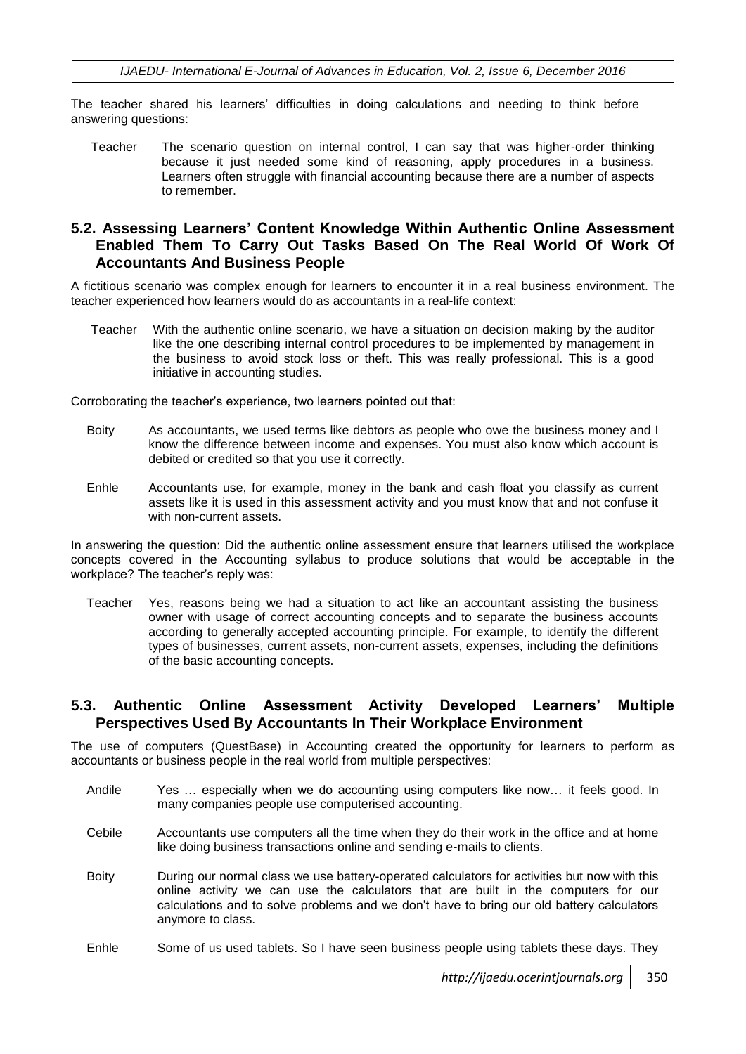The teacher shared his learners' difficulties in doing calculations and needing to think before answering questions:

Teacher The scenario question on internal control, I can say that was higher-order thinking because it just needed some kind of reasoning, apply procedures in a business. Learners often struggle with financial accounting because there are a number of aspects to remember.

#### **5.2. Assessing Learners' Content Knowledge Within Authentic Online Assessment Enabled Them To Carry Out Tasks Based On The Real World Of Work Of Accountants And Business People**

A fictitious scenario was complex enough for learners to encounter it in a real business environment. The teacher experienced how learners would do as accountants in a real-life context:

Teacher With the authentic online scenario, we have a situation on decision making by the auditor like the one describing internal control procedures to be implemented by management in the business to avoid stock loss or theft. This was really professional. This is a good initiative in accounting studies.

Corroborating the teacher's experience, two learners pointed out that:

- Boity As accountants, we used terms like debtors as people who owe the business money and I know the difference between income and expenses. You must also know which account is debited or credited so that you use it correctly.
- Enhle Accountants use, for example, money in the bank and cash float you classify as current assets like it is used in this assessment activity and you must know that and not confuse it with non-current assets.

In answering the question: Did the authentic online assessment ensure that learners utilised the workplace concepts covered in the Accounting syllabus to produce solutions that would be acceptable in the workplace? The teacher's reply was:

Teacher Yes, reasons being we had a situation to act like an accountant assisting the business owner with usage of correct accounting concepts and to separate the business accounts according to generally accepted accounting principle. For example, to identify the different types of businesses, current assets, non-current assets, expenses, including the definitions of the basic accounting concepts.

#### **5.3. Authentic Online Assessment Activity Developed Learners' Multiple Perspectives Used By Accountants In Their Workplace Environment**

The use of computers (QuestBase) in Accounting created the opportunity for learners to perform as accountants or business people in the real world from multiple perspectives:

- Andile Yes … especially when we do accounting using computers like now… it feels good. In many companies people use computerised accounting.
- Cebile Accountants use computers all the time when they do their work in the office and at home like doing business transactions online and sending e-mails to clients.
- Boity During our normal class we use battery-operated calculators for activities but now with this online activity we can use the calculators that are built in the computers for our calculations and to solve problems and we don't have to bring our old battery calculators anymore to class.

#### Enhle Some of us used tablets. So I have seen business people using tablets these days. They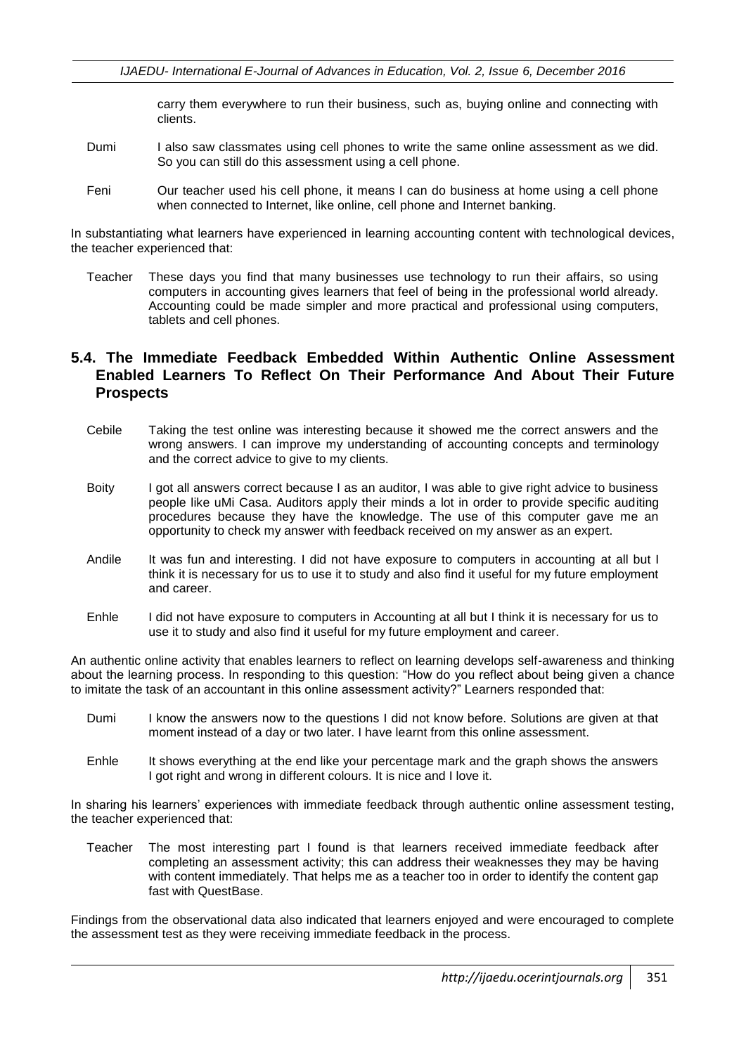carry them everywhere to run their business, such as, buying online and connecting with clients.

- Dumi I also saw classmates using cell phones to write the same online assessment as we did. So you can still do this assessment using a cell phone.
- Feni Our teacher used his cell phone, it means I can do business at home using a cell phone when connected to Internet, like online, cell phone and Internet banking.

In substantiating what learners have experienced in learning accounting content with technological devices, the teacher experienced that:

Teacher These days you find that many businesses use technology to run their affairs, so using computers in accounting gives learners that feel of being in the professional world already. Accounting could be made simpler and more practical and professional using computers, tablets and cell phones.

#### **5.4. The Immediate Feedback Embedded Within Authentic Online Assessment Enabled Learners To Reflect On Their Performance And About Their Future Prospects**

- Cebile Taking the test online was interesting because it showed me the correct answers and the wrong answers. I can improve my understanding of accounting concepts and terminology and the correct advice to give to my clients.
- Boity I got all answers correct because I as an auditor, I was able to give right advice to business people like uMi Casa. Auditors apply their minds a lot in order to provide specific auditing procedures because they have the knowledge. The use of this computer gave me an opportunity to check my answer with feedback received on my answer as an expert.
- Andile It was fun and interesting. I did not have exposure to computers in accounting at all but I think it is necessary for us to use it to study and also find it useful for my future employment and career.
- Enhle I did not have exposure to computers in Accounting at all but I think it is necessary for us to use it to study and also find it useful for my future employment and career.

An authentic online activity that enables learners to reflect on learning develops self-awareness and thinking about the learning process. In responding to this question: "How do you reflect about being given a chance to imitate the task of an accountant in this online assessment activity?" Learners responded that:

- Dumi I know the answers now to the questions I did not know before. Solutions are given at that moment instead of a day or two later. I have learnt from this online assessment.
- Enhle It shows everything at the end like your percentage mark and the graph shows the answers I got right and wrong in different colours. It is nice and I love it.

In sharing his learners' experiences with immediate feedback through authentic online assessment testing, the teacher experienced that:

Teacher The most interesting part I found is that learners received immediate feedback after completing an assessment activity; this can address their weaknesses they may be having with content immediately. That helps me as a teacher too in order to identify the content gap fast with QuestBase.

Findings from the observational data also indicated that learners enjoyed and were encouraged to complete the assessment test as they were receiving immediate feedback in the process.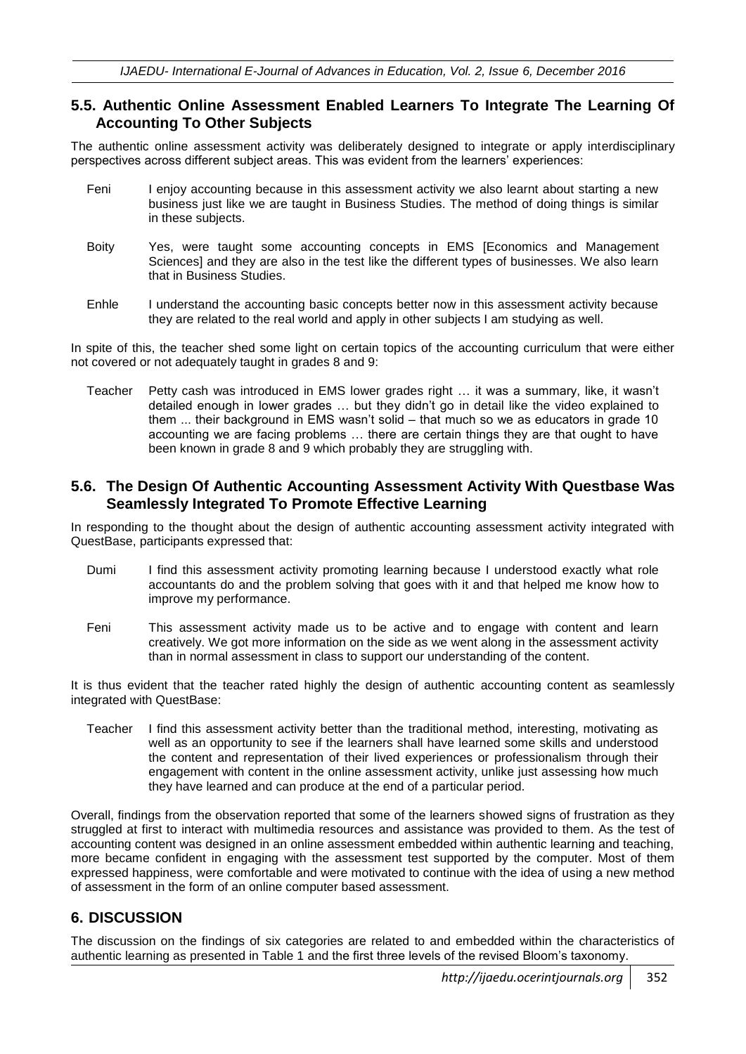#### **5.5. Authentic Online Assessment Enabled Learners To Integrate The Learning Of Accounting To Other Subjects**

The authentic online assessment activity was deliberately designed to integrate or apply interdisciplinary perspectives across different subject areas. This was evident from the learners' experiences:

- Feni I enjoy accounting because in this assessment activity we also learnt about starting a new business just like we are taught in Business Studies. The method of doing things is similar in these subjects.
- Boity Yes, were taught some accounting concepts in EMS [Economics and Management Sciences] and they are also in the test like the different types of businesses. We also learn that in Business Studies.
- Enhle I understand the accounting basic concepts better now in this assessment activity because they are related to the real world and apply in other subjects I am studying as well.

In spite of this, the teacher shed some light on certain topics of the accounting curriculum that were either not covered or not adequately taught in grades 8 and 9:

Teacher Petty cash was introduced in EMS lower grades right … it was a summary, like, it wasn't detailed enough in lower grades … but they didn't go in detail like the video explained to them ... their background in EMS wasn't solid – that much so we as educators in grade 10 accounting we are facing problems … there are certain things they are that ought to have been known in grade 8 and 9 which probably they are struggling with.

#### **5.6. The Design Of Authentic Accounting Assessment Activity With Questbase Was Seamlessly Integrated To Promote Effective Learning**

In responding to the thought about the design of authentic accounting assessment activity integrated with QuestBase, participants expressed that:

- Dumi I find this assessment activity promoting learning because I understood exactly what role accountants do and the problem solving that goes with it and that helped me know how to improve my performance.
- Feni This assessment activity made us to be active and to engage with content and learn creatively. We got more information on the side as we went along in the assessment activity than in normal assessment in class to support our understanding of the content.

It is thus evident that the teacher rated highly the design of authentic accounting content as seamlessly integrated with QuestBase:

Teacher I find this assessment activity better than the traditional method, interesting, motivating as well as an opportunity to see if the learners shall have learned some skills and understood the content and representation of their lived experiences or professionalism through their engagement with content in the online assessment activity, unlike just assessing how much they have learned and can produce at the end of a particular period.

Overall, findings from the observation reported that some of the learners showed signs of frustration as they struggled at first to interact with multimedia resources and assistance was provided to them. As the test of accounting content was designed in an online assessment embedded within authentic learning and teaching, more became confident in engaging with the assessment test supported by the computer. Most of them expressed happiness, were comfortable and were motivated to continue with the idea of using a new method of assessment in the form of an online computer based assessment.

### **6. DISCUSSION**

The discussion on the findings of six categories are related to and embedded within the characteristics of authentic learning as presented in Table 1 and the first three levels of the revised Bloom's taxonomy.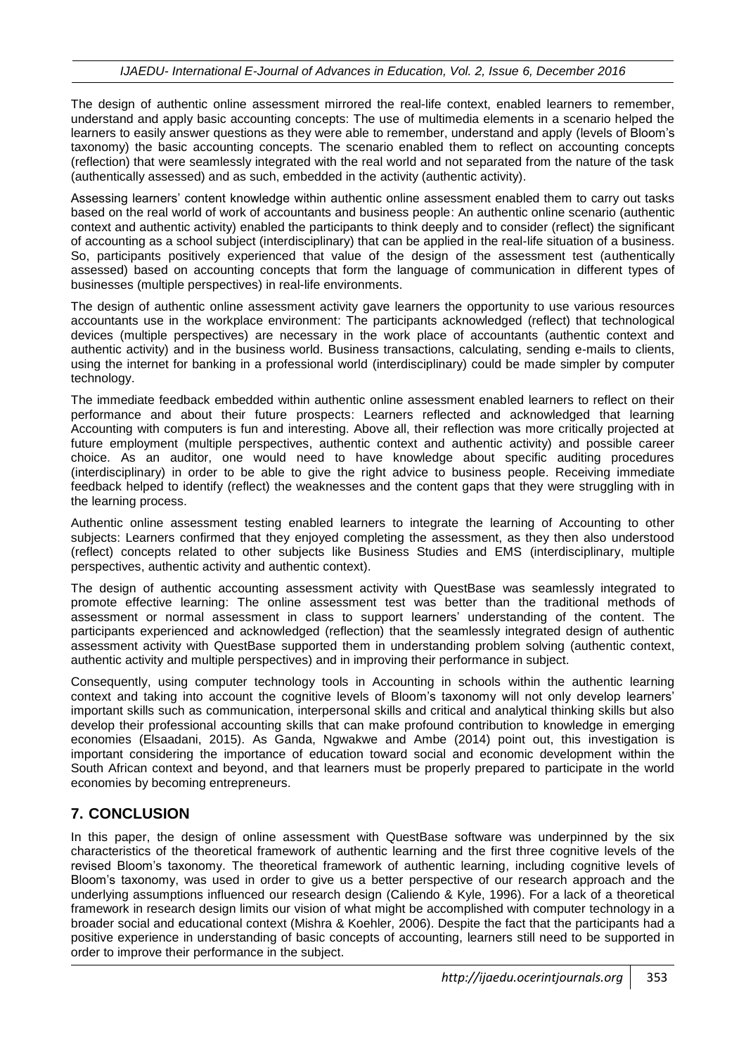The design of authentic online assessment mirrored the real-life context, enabled learners to remember, understand and apply basic accounting concepts: The use of multimedia elements in a scenario helped the learners to easily answer questions as they were able to remember, understand and apply (levels of Bloom's taxonomy) the basic accounting concepts. The scenario enabled them to reflect on accounting concepts (reflection) that were seamlessly integrated with the real world and not separated from the nature of the task (authentically assessed) and as such, embedded in the activity (authentic activity).

Assessing learners' content knowledge within authentic online assessment enabled them to carry out tasks based on the real world of work of accountants and business people: An authentic online scenario (authentic context and authentic activity) enabled the participants to think deeply and to consider (reflect) the significant of accounting as a school subject (interdisciplinary) that can be applied in the real-life situation of a business. So, participants positively experienced that value of the design of the assessment test (authentically assessed) based on accounting concepts that form the language of communication in different types of businesses (multiple perspectives) in real-life environments.

The design of authentic online assessment activity gave learners the opportunity to use various resources accountants use in the workplace environment: The participants acknowledged (reflect) that technological devices (multiple perspectives) are necessary in the work place of accountants (authentic context and authentic activity) and in the business world. Business transactions, calculating, sending e-mails to clients, using the internet for banking in a professional world (interdisciplinary) could be made simpler by computer technology.

The immediate feedback embedded within authentic online assessment enabled learners to reflect on their performance and about their future prospects: Learners reflected and acknowledged that learning Accounting with computers is fun and interesting. Above all, their reflection was more critically projected at future employment (multiple perspectives, authentic context and authentic activity) and possible career choice. As an auditor, one would need to have knowledge about specific auditing procedures (interdisciplinary) in order to be able to give the right advice to business people. Receiving immediate feedback helped to identify (reflect) the weaknesses and the content gaps that they were struggling with in the learning process.

Authentic online assessment testing enabled learners to integrate the learning of Accounting to other subjects: Learners confirmed that they enjoyed completing the assessment, as they then also understood (reflect) concepts related to other subjects like Business Studies and EMS (interdisciplinary, multiple perspectives, authentic activity and authentic context).

The design of authentic accounting assessment activity with QuestBase was seamlessly integrated to promote effective learning: The online assessment test was better than the traditional methods of assessment or normal assessment in class to support learners' understanding of the content. The participants experienced and acknowledged (reflection) that the seamlessly integrated design of authentic assessment activity with QuestBase supported them in understanding problem solving (authentic context, authentic activity and multiple perspectives) and in improving their performance in subject.

Consequently, using computer technology tools in Accounting in schools within the authentic learning context and taking into account the cognitive levels of Bloom's taxonomy will not only develop learners' important skills such as communication, interpersonal skills and critical and analytical thinking skills but also develop their professional accounting skills that can make profound contribution to knowledge in emerging economies (Elsaadani, 2015). As Ganda, Ngwakwe and Ambe (2014) point out, this investigation is important considering the importance of education toward social and economic development within the South African context and beyond, and that learners must be properly prepared to participate in the world economies by becoming entrepreneurs.

### **7. CONCLUSION**

In this paper, the design of online assessment with QuestBase software was underpinned by the six characteristics of the theoretical framework of authentic learning and the first three cognitive levels of the revised Bloom's taxonomy. The theoretical framework of authentic learning, including cognitive levels of Bloom's taxonomy, was used in order to give us a better perspective of our research approach and the underlying assumptions influenced our research design (Caliendo & Kyle, 1996). For a lack of a theoretical framework in research design limits our vision of what might be accomplished with computer technology in a broader social and educational context (Mishra & Koehler, 2006). Despite the fact that the participants had a positive experience in understanding of basic concepts of accounting, learners still need to be supported in order to improve their performance in the subject.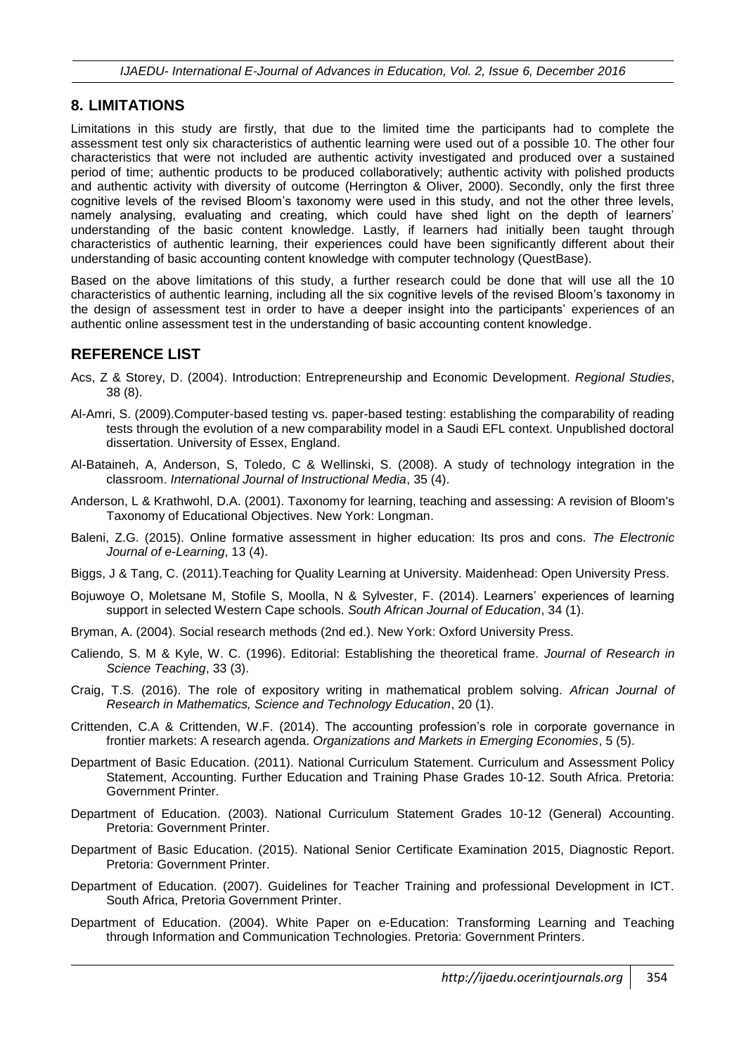### **8. LIMITATIONS**

Limitations in this study are firstly, that due to the limited time the participants had to complete the assessment test only six characteristics of authentic learning were used out of a possible 10. The other four characteristics that were not included are authentic activity investigated and produced over a sustained period of time; authentic products to be produced collaboratively; authentic activity with polished products and authentic activity with diversity of outcome (Herrington & Oliver, 2000). Secondly, only the first three cognitive levels of the revised Bloom's taxonomy were used in this study, and not the other three levels, namely analysing, evaluating and creating, which could have shed light on the depth of learners' understanding of the basic content knowledge. Lastly, if learners had initially been taught through characteristics of authentic learning, their experiences could have been significantly different about their understanding of basic accounting content knowledge with computer technology (QuestBase).

Based on the above limitations of this study, a further research could be done that will use all the 10 characteristics of authentic learning, including all the six cognitive levels of the revised Bloom's taxonomy in the design of assessment test in order to have a deeper insight into the participants' experiences of an authentic online assessment test in the understanding of basic accounting content knowledge.

### **REFERENCE LIST**

- Acs, Z & Storey, D. (2004). Introduction: Entrepreneurship and Economic Development. *Regional Studies*, 38 (8).
- Al-Amri, S. (2009).Computer-based testing vs. paper-based testing: establishing the comparability of reading tests through the evolution of a new comparability model in a Saudi EFL context. Unpublished doctoral dissertation. University of Essex, England.
- Al-Bataineh, A, Anderson, S, Toledo, C & Wellinski, S. (2008). A study of technology integration in the classroom. *International Journal of Instructional Media*, 35 (4).
- Anderson, L & Krathwohl, D.A. (2001). Taxonomy for learning, teaching and assessing: A revision of Bloom's Taxonomy of Educational Objectives. New York: Longman.
- Baleni, Z.G. (2015). Online formative assessment in higher education: Its pros and cons. *The Electronic Journal of e-Learning*, 13 (4).
- Biggs, J & Tang, C. (2011).Teaching for Quality Learning at University. Maidenhead: Open University Press.
- Bojuwoye O, Moletsane M, Stofile S, Moolla, N & Sylvester, F. (2014). Learners' experiences of learning support in selected Western Cape schools. *South African Journal of Education*, 34 (1).
- Bryman, A. (2004). Social research methods (2nd ed.). New York: Oxford University Press.
- Caliendo, S. M & Kyle, W. C. (1996). Editorial: Establishing the theoretical frame. *Journal of Research in Science Teaching*, 33 (3).
- Craig, T.S. (2016). The role of expository writing in mathematical problem solving. *African Journal of Research in Mathematics, Science and Technology Education*, 20 (1).
- Crittenden, C.A & Crittenden, W.F. (2014). The accounting profession's role in corporate governance in frontier markets: A research agenda. *Organizations and Markets in Emerging Economies*, 5 (5).
- Department of Basic Education. (2011). National Curriculum Statement. Curriculum and Assessment Policy Statement, Accounting. Further Education and Training Phase Grades 10-12. South Africa. Pretoria: Government Printer.
- Department of Education. (2003). National Curriculum Statement Grades 10-12 (General) Accounting. Pretoria: Government Printer.
- Department of Basic Education. (2015). National Senior Certificate Examination 2015, Diagnostic Report. Pretoria: Government Printer.
- Department of Education. (2007). Guidelines for Teacher Training and professional Development in ICT. South Africa, Pretoria Government Printer.
- Department of Education. (2004). White Paper on e-Education: Transforming Learning and Teaching through Information and Communication Technologies. Pretoria: Government Printers.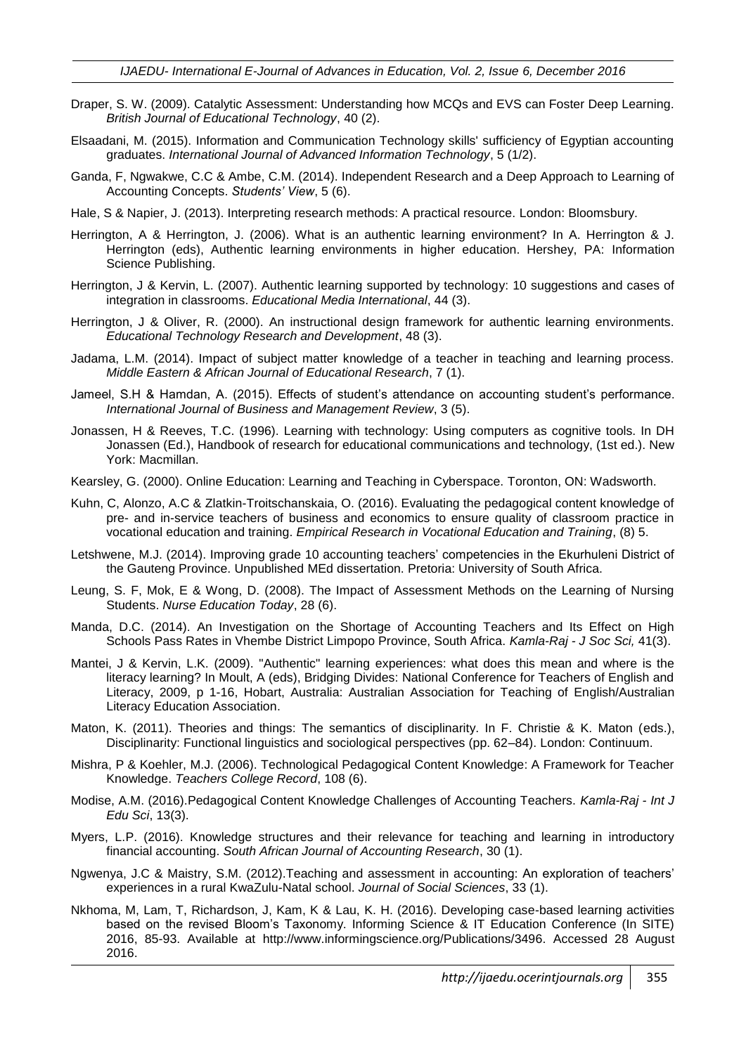- Draper, S. W. (2009). Catalytic Assessment: Understanding how MCQs and EVS can Foster Deep Learning*. British Journal of Educational Technology*, 40 (2).
- Elsaadani, M. (2015). Information and Communication Technology skills' sufficiency of Egyptian accounting graduates. *International Journal of Advanced Information Technology*, 5 (1/2).
- Ganda, F, Ngwakwe, C.C & Ambe, C.M. (2014). Independent Research and a Deep Approach to Learning of Accounting Concepts. *Students' View*, 5 (6).
- Hale, S & Napier, J. (2013). Interpreting research methods: A practical resource. London: Bloomsbury.
- Herrington, A & Herrington, J. (2006). What is an authentic learning environment? In A. Herrington & J. Herrington (eds), Authentic learning environments in higher education. Hershey, PA: Information Science Publishing.
- Herrington, J & Kervin, L. (2007). Authentic learning supported by technology: 10 suggestions and cases of integration in classrooms. *Educational Media International*, 44 (3).
- Herrington, J & Oliver, R. (2000). An instructional design framework for authentic learning environments. *Educational Technology Research and Development*, 48 (3).
- Jadama, L.M. (2014). Impact of subject matter knowledge of a teacher in teaching and learning process. *Middle Eastern & African Journal of Educational Research*, 7 (1).
- Jameel, S.H & Hamdan, A. (2015). Effects of student's attendance on accounting student's performance. *International Journal of Business and Management Review*, 3 (5).
- Jonassen, H & Reeves, T.C. (1996). Learning with technology: Using computers as cognitive tools. In DH Jonassen (Ed.), Handbook of research for educational communications and technology, (1st ed.). New York: Macmillan.
- Kearsley, G. (2000). Online Education: Learning and Teaching in Cyberspace. Toronton, ON: Wadsworth.
- Kuhn, C, Alonzo, A.C & Zlatkin-Troitschanskaia, O. (2016). Evaluating the pedagogical content knowledge of pre- and in-service teachers of business and economics to ensure quality of classroom practice in vocational education and training. *Empirical Research in Vocational Education and Training*, (8) 5.
- Letshwene, M.J. (2014). Improving grade 10 accounting teachers' competencies in the Ekurhuleni District of the Gauteng Province. Unpublished MEd dissertation. Pretoria: University of South Africa.
- Leung, S. F, Mok, E & Wong, D. (2008). The Impact of Assessment Methods on the Learning of Nursing Students. *Nurse Education Today*, 28 (6).
- Manda, D.C. (2014). An Investigation on the Shortage of Accounting Teachers and Its Effect on High Schools Pass Rates in Vhembe District Limpopo Province, South Africa. *Kamla-Raj - J Soc Sci,* 41(3).
- Mantei, J & Kervin, L.K. (2009). "Authentic" learning experiences: what does this mean and where is the literacy learning? In Moult, A (eds), Bridging Divides: National Conference for Teachers of English and Literacy, 2009, p 1-16, Hobart, Australia: Australian Association for Teaching of English/Australian Literacy Education Association.
- Maton, K. (2011). Theories and things: The semantics of disciplinarity. In F. Christie & K. Maton (eds.), Disciplinarity: Functional linguistics and sociological perspectives (pp. 62–84). London: Continuum.
- Mishra, P & Koehler, M.J. (2006). Technological Pedagogical Content Knowledge: A Framework for Teacher Knowledge. *Teachers College Record*, 108 (6).
- Modise, A.M. (2016).Pedagogical Content Knowledge Challenges of Accounting Teachers. *Kamla-Raj - Int J Edu Sci*, 13(3).
- Myers, L.P. (2016). Knowledge structures and their relevance for teaching and learning in introductory financial accounting. *South African Journal of Accounting Research*, 30 (1).
- Ngwenya, J.C & Maistry, S.M. (2012).Teaching and assessment in accounting: An exploration of teachers' experiences in a rural KwaZulu-Natal school. *Journal of Social Sciences*, 33 (1).
- Nkhoma, M, Lam, T, Richardson, J, Kam, K & Lau, K. H. (2016). Developing case-based learning activities based on the revised Bloom's Taxonomy. Informing Science & IT Education Conference (In SITE) 2016, 85-93. Available at http://www.informingscience.org/Publications/3496. Accessed 28 August 2016.